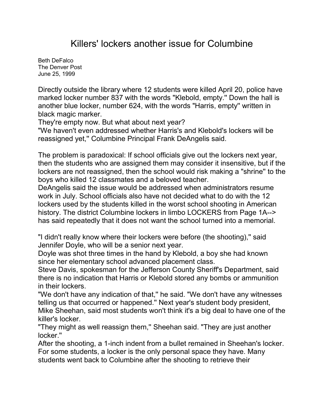## Killers' lockers another issue for Columbine

[Beth DeFalco](mailto:newsroom@denverpost.com) The Denver Post June 25, 1999

Directly outside the library where 12 students were killed April 20, police have marked locker number 837 with the words "Klebold, empty.'' Down the hall is another blue locker, number 624, with the words "Harris, empty'' written in black magic marker.

They're empty now. But what about next year?

"We haven't even addressed whether Harris's and Klebold's lockers will be reassigned yet,'' Columbine Principal Frank DeAngelis said.

The problem is paradoxical: If school officials give out the lockers next year, then the students who are assigned them may consider it insensitive, but if the lockers are not reassigned, then the school would risk making a "shrine'' to the boys who killed 12 classmates and a beloved teacher.

DeAngelis said the issue would be addressed when administrators resume work in July. School officials also have not decided what to do with the 12 lockers used by the students killed in the worst school shooting in American history. The district Columbine lockers in limbo LOCKERS from Page 1A--> has said repeatedly that it does not want the school turned into a memorial.

"I didn't really know where their lockers were before (the shooting),'' said Jennifer Doyle, who will be a senior next year.

Doyle was shot three times in the hand by Klebold, a boy she had known since her elementary school advanced placement class.

Steve Davis, spokesman for the Jefferson County Sheriff's Department, said there is no indication that Harris or Klebold stored any bombs or ammunition in their lockers.

"We don't have any indication of that,'' he said. "We don't have any witnesses telling us that occurred or happened.'' Next year's student body president, Mike Sheehan, said most students won't think it's a big deal to have one of the killer's locker.

"They might as well reassign them,'' Sheehan said. "They are just another locker.''

After the shooting, a 1-inch indent from a bullet remained in Sheehan's locker. For some students, a locker is the only personal space they have. Many students went back to Columbine after the shooting to retrieve their